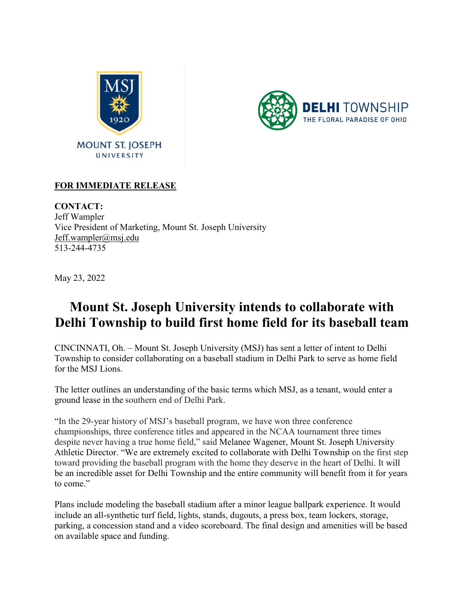



## **FOR IMMEDIATE RELEASE**

**CONTACT:** Jeff Wampler Vice President of Marketing, Mount St. Joseph University [Jeff.wampler@msj.edu](mailto:Jeff.wampler@msj.edu) 513-244-4735

May 23, 2022

## **Mount St. Joseph University intends to collaborate with Delhi Township to build first home field for its baseball team**

CINCINNATI, Oh. – Mount St. Joseph University (MSJ) has sent a letter of intent to Delhi Township to consider collaborating on a baseball stadium in Delhi Park to serve as home field for the MSJ Lions.

The letter outlines an understanding of the basic terms which MSJ, as a tenant, would enter a ground lease in the southern end of Delhi Park.

"In the 29-year history of MSJ's baseball program, we have won three conference championships, three conference titles and appeared in the NCAA tournament three times despite never having a true home field," said Melanee Wagener, Mount St. Joseph University Athletic Director. "We are extremely excited to collaborate with Delhi Township on the first step toward providing the baseball program with the home they deserve in the heart of Delhi. It will be an incredible asset for Delhi Township and the entire community will benefit from it for years to come."

Plans include modeling the baseball stadium after a minor league ballpark experience. It would include an all-synthetic turf field, lights, stands, dugouts, a press box, team lockers, storage, parking, a concession stand and a video scoreboard. The final design and amenities will be based on available space and funding.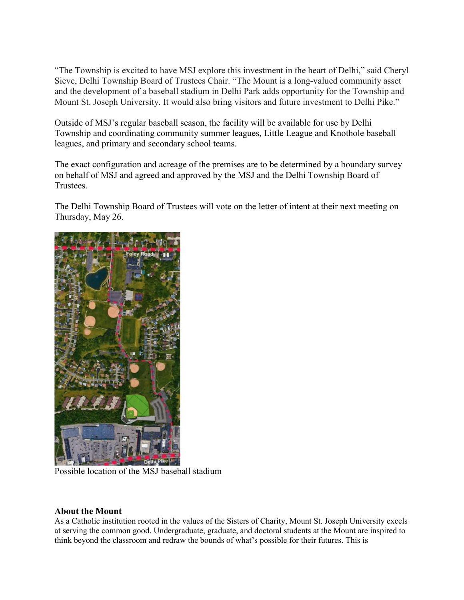"The Township is excited to have MSJ explore this investment in the heart of Delhi," said Cheryl Sieve, Delhi Township Board of Trustees Chair. "The Mount is a long-valued community asset and the development of a baseball stadium in Delhi Park adds opportunity for the Township and Mount St. Joseph University. It would also bring visitors and future investment to Delhi Pike."

Outside of MSJ's regular baseball season, the facility will be available for use by Delhi Township and coordinating community summer leagues, Little League and Knothole baseball leagues, and primary and secondary school teams.

The exact configuration and acreage of the premises are to be determined by a boundary survey on behalf of MSJ and agreed and approved by the MSJ and the Delhi Township Board of Trustees.

The Delhi Township Board of Trustees will vote on the letter of intent at their next meeting on Thursday, May 26.



Possible location of the MSJ baseball stadium

## **About the Mount**

As a Catholic institution rooted in the values of the Sisters of Charity, [Mount St. Joseph University](https://www.msj.edu/) excels at serving the common good. Undergraduate, graduate, and doctoral students at the Mount are inspired to think beyond the classroom and redraw the bounds of what's possible for their futures. This is